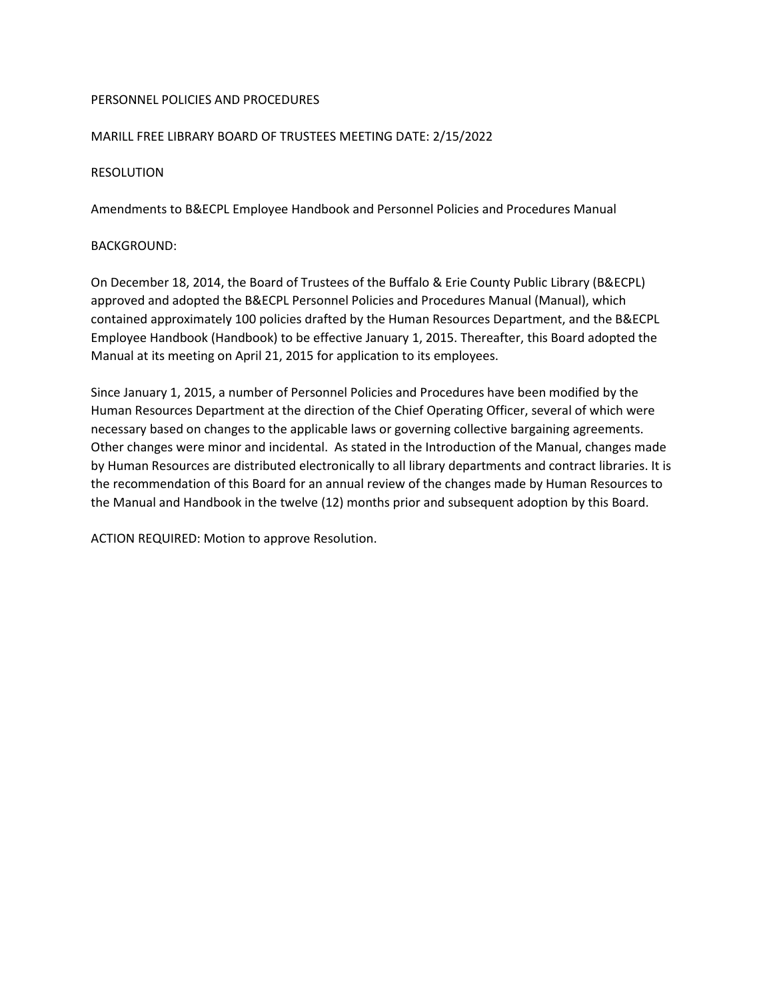# PERSONNEL POLICIES AND PROCEDURES

# MARILL FREE LIBRARY BOARD OF TRUSTEES MEETING DATE: 2/15/2022

### RESOLUTION

Amendments to B&ECPL Employee Handbook and Personnel Policies and Procedures Manual

### BACKGROUND:

On December 18, 2014, the Board of Trustees of the Buffalo & Erie County Public Library (B&ECPL) approved and adopted the B&ECPL Personnel Policies and Procedures Manual (Manual), which contained approximately 100 policies drafted by the Human Resources Department, and the B&ECPL Employee Handbook (Handbook) to be effective January 1, 2015. Thereafter, this Board adopted the Manual at its meeting on April 21, 2015 for application to its employees.

Since January 1, 2015, a number of Personnel Policies and Procedures have been modified by the Human Resources Department at the direction of the Chief Operating Officer, several of which were necessary based on changes to the applicable laws or governing collective bargaining agreements. Other changes were minor and incidental. As stated in the Introduction of the Manual, changes made by Human Resources are distributed electronically to all library departments and contract libraries. It is the recommendation of this Board for an annual review of the changes made by Human Resources to the Manual and Handbook in the twelve (12) months prior and subsequent adoption by this Board.

ACTION REQUIRED: Motion to approve Resolution.